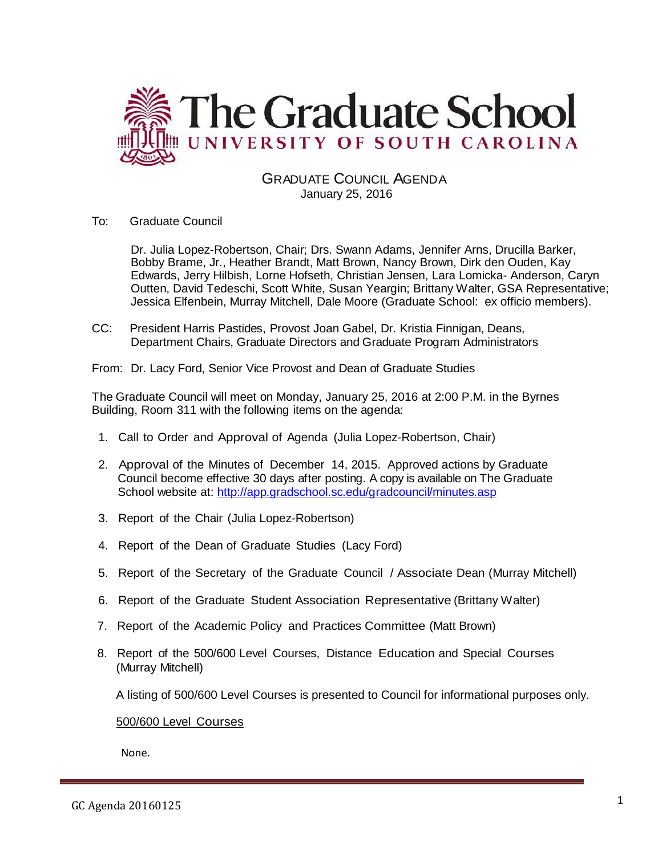

## GRADUATE COUNCIL AGENDA January 25, 2016

To: Graduate Council

Dr. Julia Lopez-Robertson, Chair; Drs. Swann Adams, Jennifer Arns, Drucilla Barker, Bobby Brame, Jr., Heather Brandt, Matt Brown, Nancy Brown, Dirk den Ouden, Kay Edwards, Jerry Hilbish, Lorne Hofseth, Christian Jensen, Lara Lomicka- Anderson, Caryn Outten, David Tedeschi, Scott White, Susan Yeargin; Brittany Walter, GSA Representative; Jessica Elfenbein, Murray Mitchell, Dale Moore (Graduate School: ex officio members).

CC: President Harris Pastides, Provost Joan Gabel, Dr. Kristia Finnigan, Deans, Department Chairs, Graduate Directors and Graduate Program Administrators

From: Dr. Lacy Ford, Senior Vice Provost and Dean of Graduate Studies

The Graduate Council will meet on Monday, January 25, 2016 at 2:00 P.M. in the Byrnes Building, Room 311 with the following items on the agenda:

- 1. Call to Order and Approval of Agenda (Julia Lopez-Robertson, Chair)
- 2. Approval of the Minutes of [December 14,](http://gradschool.sc.edu/facstaff/gradcouncil/2015/GC%20Minutes%20November%2023%202015MMfinal2.pdf) 2015. Approved actions by Graduate Council become effective 30 days after posting. A copy is available on The Graduate School website at:<http://app.gradschool.sc.edu/gradcouncil/minutes.asp>
- 3. Report of the Chair (Julia Lopez-Robertson)
- 4. Report of the Dean of Graduate Studies (Lacy Ford)
- 5. Report of the Secretary of the Graduate Council / Associate Dean (Murray Mitchell)
- 6. Report of the Graduate Student Association Representative (Brittany Walter)
- 7. Report of the Academic Policy and Practices Committee (Matt Brown)
- 8. Report of the 500/600 Level Courses, Distance Education and Special Courses (Murray Mitchell)

A listing of 500/600 Level Courses is presented to Council for informational purposes only.

## 500/600 Level Courses

None.